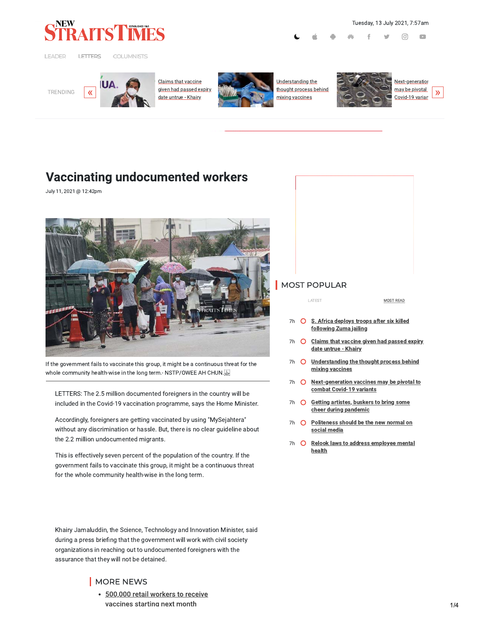

LEADER LETTERS

**COLUMNISTS** 

Tuesday, 13 July 2021, 7:57am

ଟ



Claims that vaccine given had passed expiry date untrue - Khairy



Understanding the thought process behind mixing vaccines



may be pivotal  $\lambda$ 

 $\Box$ 

# **Vaccinating undocumented workers**

July 11, 2021 @ 12:42pm



If the government fails to vaccinate this group, it might be a continuous threat for the whole community health-wise in the long term.- NSTP/OWEE AH CHUN.

LETTERS: The 2.5 million documented foreigners in the country will be included in the Covid-19 vaccination programme, says the Home Minister.

Accordingly, foreigners are getting vaccinated by using "MySejahtera" without any discrimination or hassle. But, there is no clear guideline about the 2.2 million undocumented migrants.

This is effectively seven percent of the population of the country. If the government fails to vaccinate this group, it might be a continuous threat for the whole community health-wise in the long term.

Khairy Jamaluddin, the Science, Technology and Innovation Minister, said during a press briefing that the government will work with civil society organizations in reaching out to undocumented foreigners with the assurance that they will not be detained.

# MORE NEWS

• 500,000 retail workers to receive vaccines starting next month

# MOST POPULAR

LATEST

| MOST READ |  |
|-----------|--|
|           |  |

- 7h O S. Africa deploys troops after six killed following Zuma jailing
- 7h O Claims that vaccine given had passed expiry date untrue - Khairy
- 7h O Understanding the thought process behind mixing vaccines
- 7h O Next-generation vaccines may be pivotal to combat Covid-19 variants
- 7h O Getting artistes, buskers to bring some cheer during pandemic
- 7h O Politeness should be the new normal on social media
- 7h O Relook laws to address employee mental health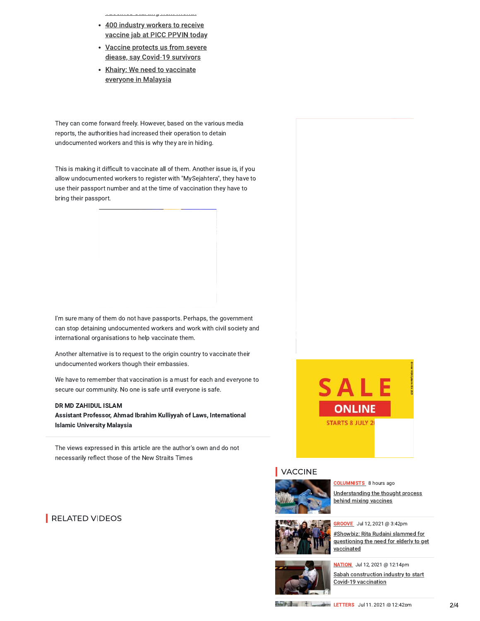- 400 industry workers to receive vaccine jab at PICC PPVIN today
- Vaccine protects us from severe diease, say Covid-19 survivors
- Khairy: We need to vaccinate everyone in Malaysia

They can come forward freely. However, based on the various media reports, the authorities had increased their operation to detain undocumented workers and this is why they are in hiding.

This is making it difficult to vaccinate all of them. Another issue is, if you allow undocumented workers to register with "MySejahtera", they have to use their passport number and at the time of vaccination they have to bring their passport.

I'm sure many of them do not have passports. Perhaps, the government can stop detaining undocumented workers and work with civil society and international organisations to help vaccinate them.

Another alternative is to request to the origin country to vaccinate their undocumented workers though their embassies.

We have to remember that vaccination is a must for each and everyone to secure our community. No one is safe until everyone is safe.

#### DR MD ZAHIDUL ISLAM

Assistant Professor, Ahmad Ibrahim Kulliyyah of Laws, International **Islamic University Malaysia** 

The views expressed in this article are the author's own and do not necessarily reflect those of the New Straits Times

# RELATED VIDEOS



### **VACCINE**



**COLUMNISTS** 8 hours ago Understanding the thought process behind mixing vaccines



#Showbiz: Rita Rudaini slammed for questioning the need for elderly to get vaccinated



NATION Jul 12, 2021 @ 12:14pm Sabah construction industry to start Covid-19 vaccination

LETTERS Jul 11. 2021 @ 12:42pm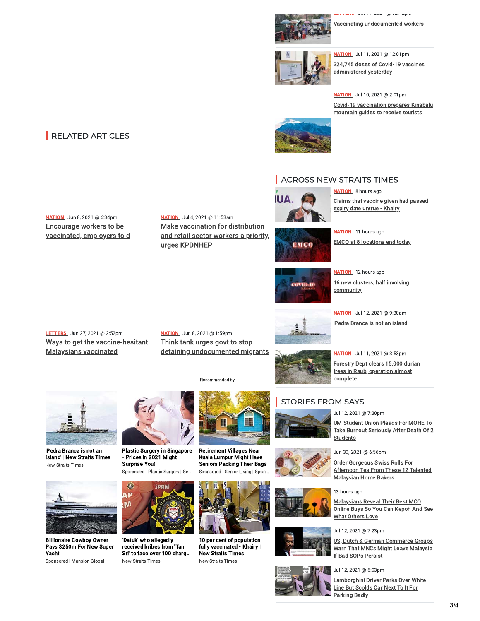

Vaccinating undocumented workers

والمهما الماداني والمعمارة والمعا



NATION Jul 11, 2021 @ 12:01pm 324,745 doses of Covid-19 vaccines administered yesterday

**NATION** Jul 10, 2021 @ 2:01pm Covid-19 vaccination prepares Kinabalu mountain guides to receive tourists



# ACROSS NEW STRAITS TIMES



**NATION** 8 hours ago Claims that vaccine given had passed expiry date untrue - Khairy



**NATION** 11 hours ago **EMCO** at 8 locations end today



**NATION** 12 hours ago 16 new clusters, half involving community



NATION Jul 12, 2021 @ 9:30am 'Pedra Branca is not an island'



NATION Jul 11, 2021 @ 3:53pm Forestry Dept clears 15,000 durian trees in Raub, operation almost complete

### **STORIES FROM SAYS**

Jul 12, 2021 @ 7:30pm

**UM Student Union Pleads For MOHE To** Take Burnout Seriously After Death Of 2 **Students** 



Order Gorgeous Swiss Rolls For Afternoon Tea From These 12 Talented **Malaysian Home Bakers** 

13 hours ago



#### Jul 12, 2021 @ 7:23pm

US, Dutch & German Commerce Groups Warn That MNCs Might Leave Malaysia If Bad SOPs Persist

#### Jul 12, 2021 @ 6:03pm

Lamborghini Driver Parks Over White Line But Scolds Car Next To It For **Parking Badly** 

# RELATED ARTICLES

NATION Jun 8, 2021 @ 6:34pm Encourage workers to be vaccinated, employers told NATION Jul 4, 2021 @ 11:53am **Make vaccination for distribution** and retail sector workers a priority, urges KPDNHEP

NATION Jun 8, 2021 @ 1:59pm

Think tank urges govt to stop

detaining undocumented migrants

LETTERS Jun 27, 2021 @ 2:52pm Ways to get the vaccine-hesitant **Malaysians vaccinated** 

**Vew Straits Times** 

**Billionaire Cowboy Owner** 

Sponsored | Mansion Global

Yacht

Pays \$250m For New Super



**Plastic Surgery in Singapore** 'Pedra Branca is not an island' | New Straits Times - Prices in 2021 Might **Surprise You!** 



'Datuk' who allegedly received bribes from 'Tan Sri' to face over 100 charg... New Straits Times



**Retirement Villages Near** Kuala Lumpur Might Have **Seniors Packing Their Bags** Sponsored | Senior Living | Spon.



10 per cent of population fully vaccinated - Khairy | **New Straits Times** New Straits Times